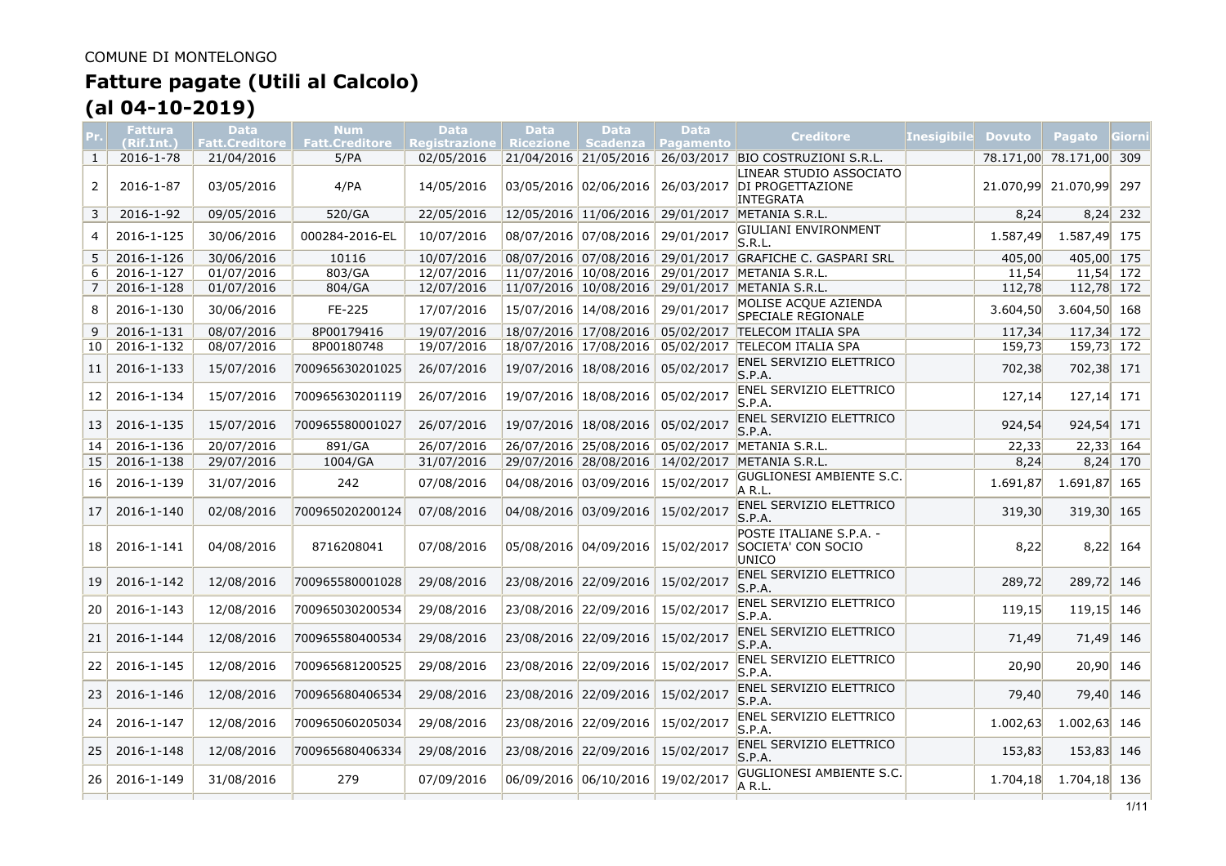# **Fatture pagate (Utili al Calcolo)**

**(al 04-10-2019)**

|                 | <b>Fattura</b><br>(Rif.Int.) | <b>Data</b><br><b>Fatt.Creditore</b> | Num<br><b>Fatt.Creditore</b> | <b>Data</b><br><b>Registrazione</b> | <b>Data</b> | <b>Data</b><br>Ricezione   Scadenza | <b>Data</b><br><b>Pagamento</b> | <b>Creditore</b>                                                | <b>Inesigibile</b> | <b>Dovuto</b> | Pagato              | Giorni     |
|-----------------|------------------------------|--------------------------------------|------------------------------|-------------------------------------|-------------|-------------------------------------|---------------------------------|-----------------------------------------------------------------|--------------------|---------------|---------------------|------------|
| 1               | 2016-1-78                    | 21/04/2016                           | 5/PA                         | 02/05/2016                          |             | 21/04/2016 21/05/2016               |                                 | 26/03/2017 BIO COSTRUZIONI S.R.L.                               |                    | 78.171,00     | 78.171,00 309       |            |
| 2               | 2016-1-87                    | 03/05/2016                           | 4/PA                         | 14/05/2016                          |             | 03/05/2016 02/06/2016               | 26/03/2017                      | LINEAR STUDIO ASSOCIATO<br>DI PROGETTAZIONE<br><b>INTEGRATA</b> |                    |               | 21.070,99 21.070,99 | 297        |
| 3               | 2016-1-92                    | 09/05/2016                           | 520/GA                       | 22/05/2016                          |             | 12/05/2016 11/06/2016               |                                 | 29/01/2017 METANIA S.R.L.                                       |                    | 8,24          |                     | $8,24$ 232 |
| $\overline{4}$  | 2016-1-125                   | 30/06/2016                           | 000284-2016-EL               | 10/07/2016                          |             | 08/07/2016 07/08/2016               | 29/01/2017                      | GIULIANI ENVIRONMENT<br>S.R.L.                                  |                    | 1.587,49      | 1.587,49 175        |            |
| 5               | 2016-1-126                   | 30/06/2016                           | 10116                        | 10/07/2016                          |             |                                     |                                 | 08/07/2016 07/08/2016 29/01/2017 GRAFICHE C. GASPARI SRL        |                    | 405,00        | 405,00 175          |            |
| 6               | 2016-1-127                   | 01/07/2016                           | 803/GA                       | 12/07/2016                          |             | 11/07/2016 10/08/2016               | 29/01/2017                      | METANIA S.R.L.                                                  |                    | 11,54         | $11,54$ 172         |            |
| 7               | 2016-1-128                   | 01/07/2016                           | 804/GA                       | 12/07/2016                          |             | 11/07/2016 10/08/2016               |                                 | 29/01/2017 METANIA S.R.L.                                       |                    | 112,78        | 112,78 172          |            |
| 8               | 2016-1-130                   | 30/06/2016                           | FE-225                       | 17/07/2016                          |             | 15/07/2016 14/08/2016               | 29/01/2017                      | MOLISE ACQUE AZIENDA<br><b>SPECIALE REGIONALE</b>               |                    | 3.604,50      | 3.604,50 168        |            |
| 9               | $2016 - 1 - 131$             | 08/07/2016                           | 8P00179416                   | 19/07/2016                          |             | 18/07/2016 17/08/2016               | 05/02/2017                      | <b>TELECOM ITALIA SPA</b>                                       |                    | 117,34        | 117,34 172          |            |
| 10 <sup>1</sup> | 2016-1-132                   | 08/07/2016                           | 8P00180748                   | 19/07/2016                          |             | 18/07/2016 17/08/2016               | 05/02/2017                      | <b>TELECOM ITALIA SPA</b>                                       |                    | 159,73        | 159,73 172          |            |
| 11              | 2016-1-133                   | 15/07/2016                           | 700965630201025              | 26/07/2016                          |             | 19/07/2016 18/08/2016               | 05/02/2017                      | <b>ENEL SERVIZIO ELETTRICO</b><br>S.P.A.                        |                    | 702,38        | 702,38 171          |            |
| 12              | 2016-1-134                   | 15/07/2016                           | 700965630201119              | 26/07/2016                          |             | 19/07/2016 18/08/2016               | 05/02/2017                      | ENEL SERVIZIO ELETTRICO<br>S.P.A.                               |                    | 127,14        | 127,14 171          |            |
| 13              | 2016-1-135                   | 15/07/2016                           | 700965580001027              | 26/07/2016                          |             | 19/07/2016 18/08/2016               | 05/02/2017                      | <b>ENEL SERVIZIO ELETTRICO</b><br>S.P.A.                        |                    | 924,54        | 924,54 171          |            |
| 14              | 2016-1-136                   | 20/07/2016                           | 891/GA                       | 26/07/2016                          |             | 26/07/2016 25/08/2016               |                                 | 05/02/2017 METANIA S.R.L.                                       |                    | 22,33         | $22,33$ 164         |            |
| 15 <sup>1</sup> | 2016-1-138                   | 29/07/2016                           | 1004/GA                      | 31/07/2016                          |             | 29/07/2016 28/08/2016 14/02/2017    |                                 | METANIA S.R.L.                                                  |                    | 8,24          |                     | $8,24$ 170 |
| 16              | 2016-1-139                   | 31/07/2016                           | 242                          | 07/08/2016                          |             | 04/08/2016 03/09/2016               | 15/02/2017                      | <b>GUGLIONESI AMBIENTE S.C.</b><br>A R.L.                       |                    | 1.691,87      | 1.691,87 165        |            |
| 17              | 2016-1-140                   | 02/08/2016                           | 700965020200124              | 07/08/2016                          |             | 04/08/2016 03/09/2016               | 15/02/2017                      | <b>ENEL SERVIZIO ELETTRICO</b><br>S.P.A.                        |                    | 319,30        | 319,30 165          |            |
| 18              | 2016-1-141                   | 04/08/2016                           | 8716208041                   | 07/08/2016                          |             | 05/08/2016 04/09/2016               | 15/02/2017                      | POSTE ITALIANE S.P.A. -<br>SOCIETA' CON SOCIO<br>UNICO          |                    | 8,22          |                     | $8,22$ 164 |
| 19              | 2016-1-142                   | 12/08/2016                           | 700965580001028              | 29/08/2016                          |             | 23/08/2016 22/09/2016               | 15/02/2017                      | <b>ENEL SERVIZIO ELETTRICO</b><br>S.P.A.                        |                    | 289,72        | 289,72 146          |            |
| 20              | 2016-1-143                   | 12/08/2016                           | 700965030200534              | 29/08/2016                          |             | 23/08/2016 22/09/2016               | 15/02/2017                      | <b>ENEL SERVIZIO ELETTRICO</b><br>S.P.A.                        |                    | 119,15        | 119,15 146          |            |
| 21              | 2016-1-144                   | 12/08/2016                           | 700965580400534              | 29/08/2016                          |             | 23/08/2016 22/09/2016               | 15/02/2017                      | <b>ENEL SERVIZIO ELETTRICO</b><br>S.P.A.                        |                    | 71,49         | 71,49 146           |            |
| 22              | 2016-1-145                   | 12/08/2016                           | 700965681200525              | 29/08/2016                          |             | 23/08/2016 22/09/2016               | 15/02/2017                      | <b>ENEL SERVIZIO ELETTRICO</b><br>S.P.A.                        |                    | 20,90         | 20,90               | 146        |
| 23              | 2016-1-146                   | 12/08/2016                           | 700965680406534              | 29/08/2016                          |             | 23/08/2016 22/09/2016               | 15/02/2017                      | <b>ENEL SERVIZIO ELETTRICO</b><br>S.P.A.                        |                    | 79,40         | 79,40 146           |            |
| 24              | 2016-1-147                   | 12/08/2016                           | 700965060205034              | 29/08/2016                          |             | 23/08/2016 22/09/2016               | 15/02/2017                      | <b>ENEL SERVIZIO ELETTRICO</b><br>S.P.A.                        |                    | 1.002,63      | $1.002,63$ 146      |            |
| 25              | 2016-1-148                   | 12/08/2016                           | 700965680406334              | 29/08/2016                          |             | 23/08/2016 22/09/2016               | 15/02/2017                      | <b>ENEL SERVIZIO ELETTRICO</b><br>S.P.A.                        |                    | 153,83        | 153,83 146          |            |
| 26              | 2016-1-149                   | 31/08/2016                           | 279                          | 07/09/2016                          |             | 06/09/2016 06/10/2016               | 19/02/2017                      | GUGLIONESI AMBIENTE S.C.<br>A R.L.                              |                    | 1.704,18      | 1.704,18 136        |            |
|                 |                              |                                      |                              |                                     |             |                                     |                                 |                                                                 |                    |               |                     |            |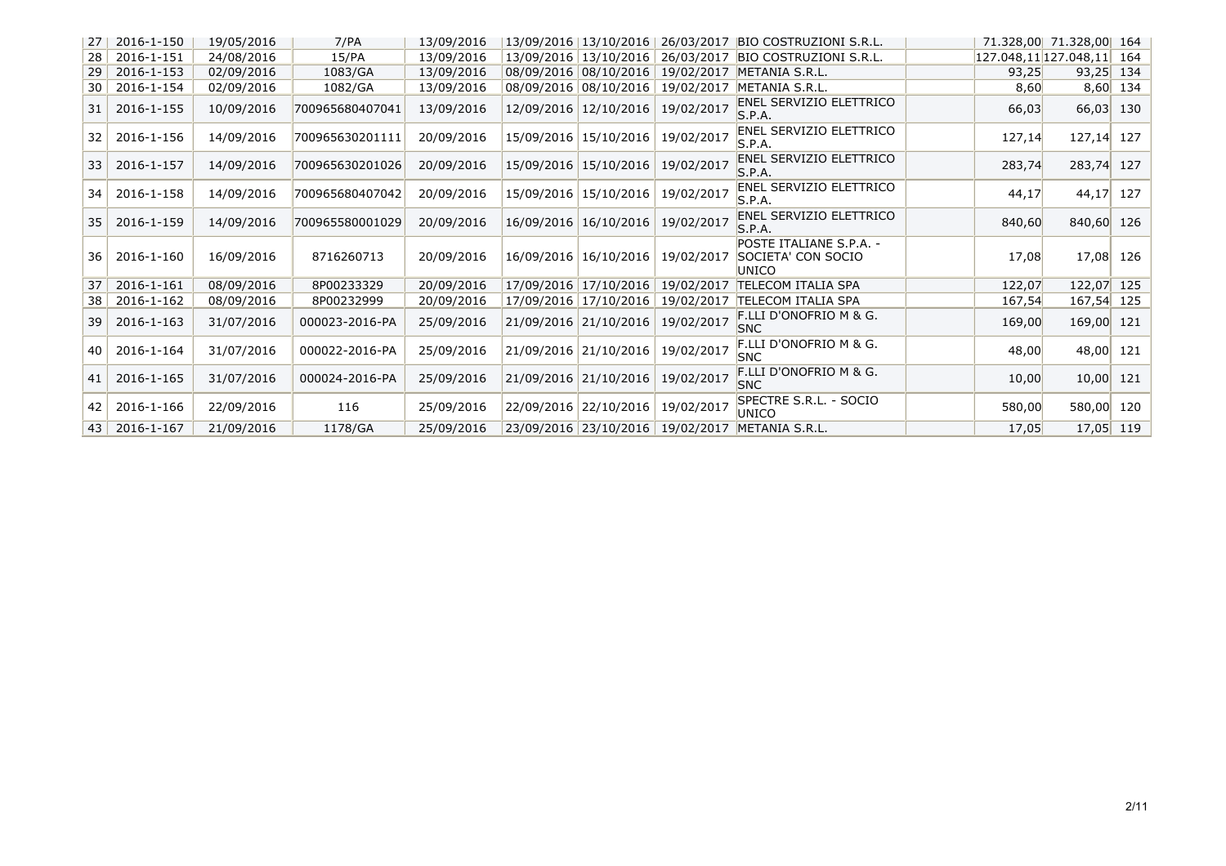| 27              | 2016-1-150 | 19/05/2016 | 7/PA            | 13/09/2016 | 13/09/2016 13/10/2016 |            | 26/03/2017 BIO COSTRUZIONI S.R.L.                      |        | 71.328,00 71.328,00 164      |            |
|-----------------|------------|------------|-----------------|------------|-----------------------|------------|--------------------------------------------------------|--------|------------------------------|------------|
| 28              | 2016-1-151 | 24/08/2016 | 15/PA           | 13/09/2016 | 13/09/2016 13/10/2016 |            | 26/03/2017 BIO COSTRUZIONI S.R.L.                      |        | $127.048, 11$ 127.048,11 164 |            |
| 29              | 2016-1-153 | 02/09/2016 | 1083/GA         | 13/09/2016 | 08/09/2016 08/10/2016 |            | 19/02/2017 METANIA S.R.L.                              | 93,25  | $93,25$ 134                  |            |
| 30 <sup>2</sup> | 2016-1-154 | 02/09/2016 | 1082/GA         | 13/09/2016 | 08/09/2016 08/10/2016 | 19/02/2017 | METANIA S.R.L.                                         | 8,60   |                              | $8,60$ 134 |
| 31              | 2016-1-155 | 10/09/2016 | 700965680407041 | 13/09/2016 | 12/09/2016 12/10/2016 | 19/02/2017 | <b>ENEL SERVIZIO ELETTRICO</b><br>S.P.A.               | 66,03  | 66,03                        | 130        |
| 32              | 2016-1-156 | 14/09/2016 | 700965630201111 | 20/09/2016 | 15/09/2016 15/10/2016 | 19/02/2017 | <b>ENEL SERVIZIO ELETTRICO</b><br>S.P.A.               | 127,14 | $127,14$ 127                 |            |
| 33              | 2016-1-157 | 14/09/2016 | 700965630201026 | 20/09/2016 | 15/09/2016 15/10/2016 | 19/02/2017 | <b>ENEL SERVIZIO ELETTRICO</b><br>S.P.A.               | 283,74 | 283,74 127                   |            |
| 34              | 2016-1-158 | 14/09/2016 | 700965680407042 | 20/09/2016 | 15/09/2016 15/10/2016 | 19/02/2017 | <b>ENEL SERVIZIO ELETTRICO</b><br>S.P.A.               | 44,17  | 44,17                        | 127        |
| 35              | 2016-1-159 | 14/09/2016 | 700965580001029 | 20/09/2016 | 16/09/2016 16/10/2016 | 19/02/2017 | <b>ENEL SERVIZIO ELETTRICO</b><br>S.P.A.               | 840,60 | 840,60                       | 126        |
| 36              | 2016-1-160 | 16/09/2016 | 8716260713      | 20/09/2016 | 16/09/2016 16/10/2016 | 19/02/2017 | POSTE ITALIANE S.P.A. -<br>SOCIETA' CON SOCIO<br>UNICO | 17,08  | 17,08                        | 126        |
| 37              | 2016-1-161 | 08/09/2016 | 8P00233329      | 20/09/2016 | 17/09/2016 17/10/2016 | 19/02/2017 | <b>TELECOM ITALIA SPA</b>                              | 122,07 | 122,07                       | 125        |
| 38              | 2016-1-162 | 08/09/2016 | 8P00232999      | 20/09/2016 | 17/09/2016 17/10/2016 |            | 19/02/2017 TELECOM ITALIA SPA                          | 167,54 | 167,54 125                   |            |
| 39              | 2016-1-163 | 31/07/2016 | 000023-2016-PA  | 25/09/2016 | 21/09/2016 21/10/2016 | 19/02/2017 | F.LLI D'ONOFRIO M & G.<br><b>SNC</b>                   | 169,00 | 169,00 121                   |            |
| 40 <sup>1</sup> | 2016-1-164 | 31/07/2016 | 000022-2016-PA  | 25/09/2016 | 21/09/2016 21/10/2016 | 19/02/2017 | <b>F.LLI D'ONOFRIO M &amp; G.</b><br><b>SNC</b>        | 48,00  | 48,00 121                    |            |
| 41              | 2016-1-165 | 31/07/2016 | 000024-2016-PA  | 25/09/2016 | 21/09/2016 21/10/2016 | 19/02/2017 | F.LLI D'ONOFRIO M & G.<br><b>SNC</b>                   | 10,00  | 10,00                        | 121        |
| 42              | 2016-1-166 | 22/09/2016 | 116             | 25/09/2016 | 22/09/2016 22/10/2016 | 19/02/2017 | SPECTRE S.R.L. - SOCIO<br>UNICO                        | 580,00 | 580,00 120                   |            |
| 43              | 2016-1-167 | 21/09/2016 | 1178/GA         | 25/09/2016 |                       |            | 23/09/2016 23/10/2016 19/02/2017 METANIA S.R.L.        | 17,05  | $17,05$ 119                  |            |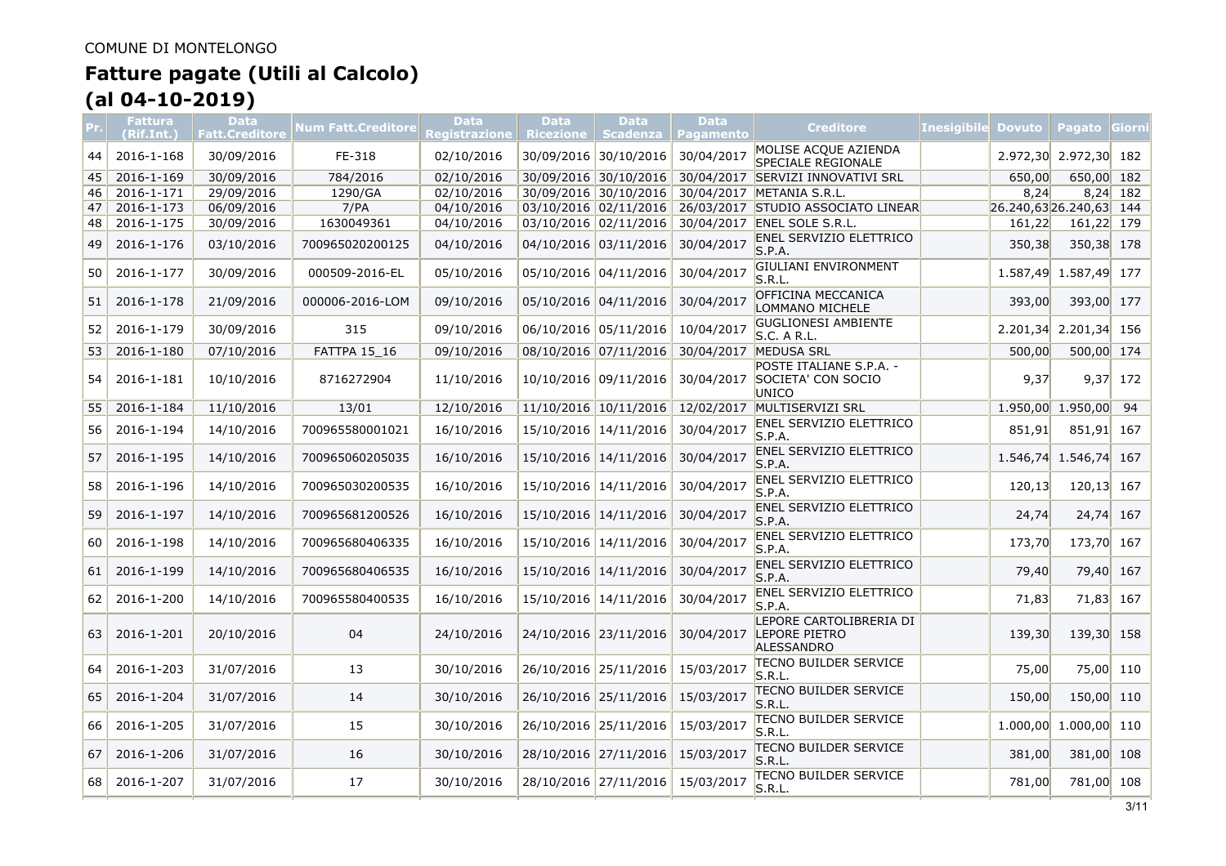|    | <b>Fattura</b><br>(Rif.Int.) | Data<br><b>Fatt.Creditore</b> | <b>Num Fatt.Creditore</b> | Data<br>Registrazione | <b>Data</b><br>Ricezione   Scadenza | Data                  | Data<br><b>Pagamento</b> | <b>Creditore</b>                                              | <b>Inesigibile</b> | <b>Dovuto</b>             | Pagato Giorni     |            |
|----|------------------------------|-------------------------------|---------------------------|-----------------------|-------------------------------------|-----------------------|--------------------------|---------------------------------------------------------------|--------------------|---------------------------|-------------------|------------|
| 44 | 2016-1-168                   | 30/09/2016                    | FE-318                    | 02/10/2016            |                                     | 30/09/2016 30/10/2016 | 30/04/2017               | MOLISE ACQUE AZIENDA<br><b>SPECIALE REGIONALE</b>             |                    | 2.972,30                  | 2.972,30 182      |            |
| 45 | 2016-1-169                   | 30/09/2016                    | 784/2016                  | 02/10/2016            |                                     | 30/09/2016 30/10/2016 |                          | 30/04/2017 SERVIZI INNOVATIVI SRL                             |                    | 650,00                    | 650,00 182        |            |
| 46 | 2016-1-171                   | 29/09/2016                    | 1290/GA                   | 02/10/2016            |                                     | 30/09/2016 30/10/2016 |                          | 30/04/2017 METANIA S.R.L.                                     |                    | 8,24                      |                   | $8,24$ 182 |
| 47 | 2016-1-173                   | 06/09/2016                    | 7/PA                      | 04/10/2016            |                                     | 03/10/2016 02/11/2016 |                          | 26/03/2017 STUDIO ASSOCIATO LINEAR                            |                    | $26.240,63$ 26.240,63 144 |                   |            |
| 48 | 2016-1-175                   | 30/09/2016                    | 1630049361                | 04/10/2016            |                                     | 03/10/2016 02/11/2016 |                          | 30/04/2017 ENEL SOLE S.R.L.                                   |                    | 161,22                    | 161,22 179        |            |
| 49 | 2016-1-176                   | 03/10/2016                    | 700965020200125           | 04/10/2016            |                                     | 04/10/2016 03/11/2016 | 30/04/2017               | <b>ENEL SERVIZIO ELETTRICO</b><br>S.P.A.                      |                    | 350,38                    | 350,38 178        |            |
| 50 | 2016-1-177                   | 30/09/2016                    | 000509-2016-EL            | 05/10/2016            |                                     | 05/10/2016 04/11/2016 | 30/04/2017               | GIULIANI ENVIRONMENT<br>S.R.L.                                |                    | 1.587,49                  | 1.587,49 177      |            |
| 51 | 2016-1-178                   | 21/09/2016                    | 000006-2016-LOM           | 09/10/2016            |                                     | 05/10/2016 04/11/2016 | 30/04/2017               | OFFICINA MECCANICA<br>LOMMANO MICHELE                         |                    | 393,00                    | 393,00 177        |            |
| 52 | 2016-1-179                   | 30/09/2016                    | 315                       | 09/10/2016            |                                     | 06/10/2016 05/11/2016 | 10/04/2017               | <b>GUGLIONESI AMBIENTE</b><br>S.C. A R.L.                     |                    | 2.201,34                  | 2.201,34 156      |            |
| 53 | 2016-1-180                   | 07/10/2016                    | <b>FATTPA 15 16</b>       | 09/10/2016            |                                     | 08/10/2016 07/11/2016 |                          | 30/04/2017 MEDUSA SRL                                         |                    | 500,00                    | 500,00 174        |            |
| 54 | 2016-1-181                   | 10/10/2016                    | 8716272904                | 11/10/2016            |                                     | 10/10/2016 09/11/2016 | 30/04/2017               | POSTE ITALIANE S.P.A. -<br>SOCIETA' CON SOCIO<br><b>UNICO</b> |                    | 9,37                      |                   | $9,37$ 172 |
| 55 | 2016-1-184                   | 11/10/2016                    | 13/01                     | 12/10/2016            |                                     | 11/10/2016 10/11/2016 | 12/02/2017               | MULTISERVIZI SRL                                              |                    |                           | 1.950,00 1.950,00 | 94         |
| 56 | 2016-1-194                   | 14/10/2016                    | 700965580001021           | 16/10/2016            |                                     | 15/10/2016 14/11/2016 | 30/04/2017               | ENEL SERVIZIO ELETTRICO<br>S.P.A.                             |                    | 851,91                    | 851,91            | 167        |
| 57 | 2016-1-195                   | 14/10/2016                    | 700965060205035           | 16/10/2016            |                                     | 15/10/2016 14/11/2016 | 30/04/2017               | <b>ENEL SERVIZIO ELETTRICO</b><br>S.P.A.                      |                    | 1.546,74                  | $1.546,74$ 167    |            |
| 58 | 2016-1-196                   | 14/10/2016                    | 700965030200535           | 16/10/2016            |                                     | 15/10/2016 14/11/2016 | 30/04/2017               | <b>ENEL SERVIZIO ELETTRICO</b><br>S.P.A.                      |                    | 120,13                    | 120,13            | 167        |
| 59 | 2016-1-197                   | 14/10/2016                    | 700965681200526           | 16/10/2016            |                                     | 15/10/2016 14/11/2016 | 30/04/2017               | ENEL SERVIZIO ELETTRICO<br>S.P.A.                             |                    | 24,74                     | 24,74             | 167        |
| 60 | 2016-1-198                   | 14/10/2016                    | 700965680406335           | 16/10/2016            |                                     | 15/10/2016 14/11/2016 | 30/04/2017               | ENEL SERVIZIO ELETTRICO<br>S.P.A.                             |                    | 173,70                    | 173,70 167        |            |
| 61 | 2016-1-199                   | 14/10/2016                    | 700965680406535           | 16/10/2016            |                                     | 15/10/2016 14/11/2016 | 30/04/2017               | ENEL SERVIZIO ELETTRICO<br>S.P.A.                             |                    | 79,40                     | 79,40 167         |            |
| 62 | 2016-1-200                   | 14/10/2016                    | 700965580400535           | 16/10/2016            |                                     | 15/10/2016 14/11/2016 | 30/04/2017               | ENEL SERVIZIO ELETTRICO<br>S.P.A.                             |                    | 71,83                     | 71,83 167         |            |
| 63 | 2016-1-201                   | 20/10/2016                    | 04                        | 24/10/2016            |                                     | 24/10/2016 23/11/2016 | 30/04/2017               | LEPORE CARTOLIBRERIA DI<br>LEPORE PIETRO<br><b>ALESSANDRO</b> |                    | 139,30                    | 139,30 158        |            |
| 64 | 2016-1-203                   | 31/07/2016                    | 13                        | 30/10/2016            |                                     | 26/10/2016 25/11/2016 | 15/03/2017               | TECNO BUILDER SERVICE<br>S.R.L.                               |                    | 75,00                     | 75,00             | 110        |
| 65 | 2016-1-204                   | 31/07/2016                    | 14                        | 30/10/2016            |                                     | 26/10/2016 25/11/2016 | 15/03/2017               | <b>TECNO BUILDER SERVICE</b><br>S.R.L                         |                    | 150,00                    | 150,00 110        |            |
| 66 | 2016-1-205                   | 31/07/2016                    | 15                        | 30/10/2016            |                                     | 26/10/2016 25/11/2016 | 15/03/2017               | itecno builder service<br>S.R.L                               |                    | 1.000,00                  | $1.000,00$ 110    |            |
| 67 | 2016-1-206                   | 31/07/2016                    | 16                        | 30/10/2016            |                                     | 28/10/2016 27/11/2016 | 15/03/2017               | <b>TECNO BUILDER SERVICE</b><br>S.R.L.                        |                    | 381,00                    | 381,00 108        |            |
| 68 | 2016-1-207                   | 31/07/2016                    | 17                        | 30/10/2016            |                                     | 28/10/2016 27/11/2016 | 15/03/2017               | TECNO BUILDER SERVICE<br>S.R.L.                               |                    | 781,00                    | 781,00 108        |            |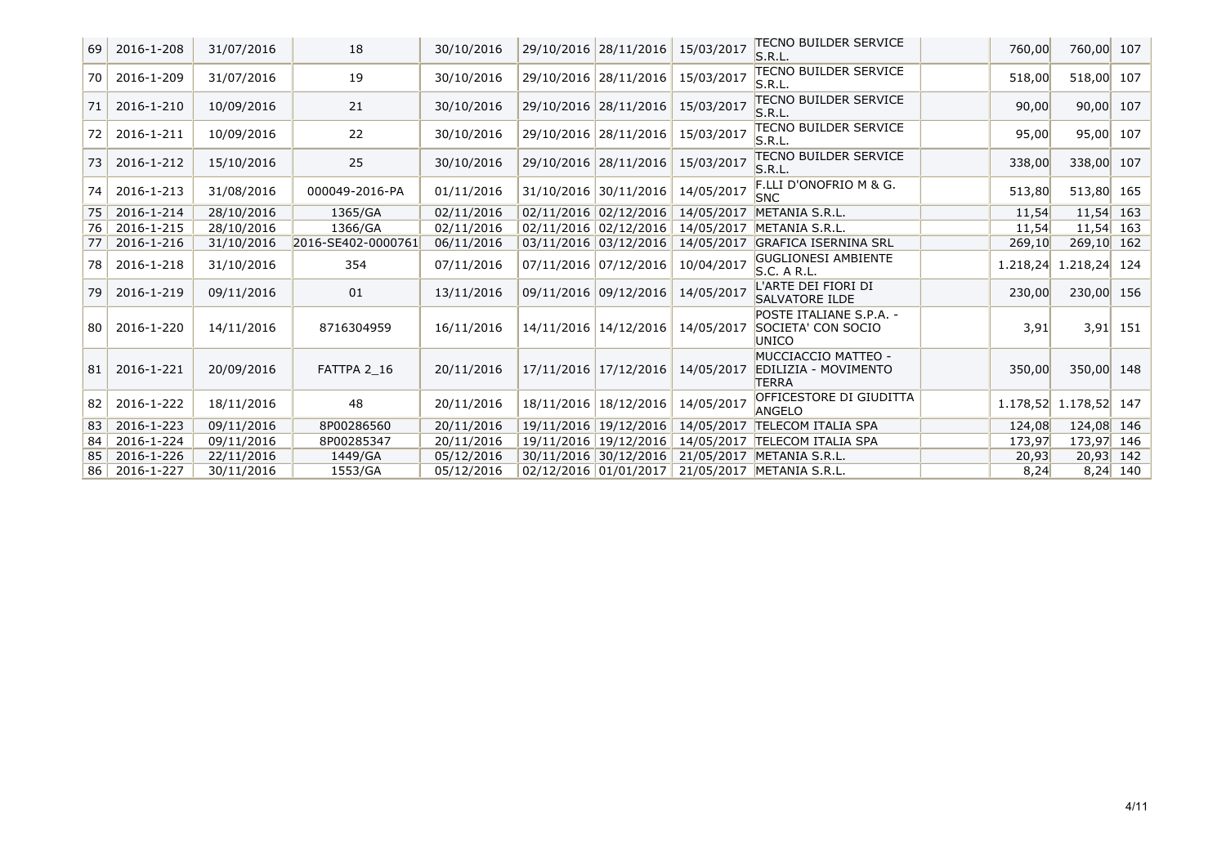| 69 | 2016-1-208 | 31/07/2016 | 18                 | 30/10/2016 | 29/10/2016 28/11/2016 | 15/03/2017 | <b>TECNO BUILDER SERVICE</b><br>S.R.L.                      | 760,00   | 760,00 107     |            |
|----|------------|------------|--------------------|------------|-----------------------|------------|-------------------------------------------------------------|----------|----------------|------------|
| 70 | 2016-1-209 | 31/07/2016 | 19                 | 30/10/2016 | 29/10/2016 28/11/2016 | 15/03/2017 | <b>TECNO BUILDER SERVICE</b><br>S.R.L.                      | 518,00   | 518,00 107     |            |
| 71 | 2016-1-210 | 10/09/2016 | 21                 | 30/10/2016 | 29/10/2016 28/11/2016 | 15/03/2017 | <b>TECNO BUILDER SERVICE</b><br>S.R.L.                      | 90,00    | $90,00$ 107    |            |
| 72 | 2016-1-211 | 10/09/2016 | 22                 | 30/10/2016 | 29/10/2016 28/11/2016 | 15/03/2017 | <b>TECNO BUILDER SERVICE</b><br>S.R.L.                      | 95,00    | $95,00$ 107    |            |
| 73 | 2016-1-212 | 15/10/2016 | 25                 | 30/10/2016 | 29/10/2016 28/11/2016 | 15/03/2017 | TECNO BUILDER SERVICE<br>S.R.L.                             | 338,00   | 338,00 107     |            |
| 74 | 2016-1-213 | 31/08/2016 | 000049-2016-PA     | 01/11/2016 | 31/10/2016 30/11/2016 | 14/05/2017 | F.LLI D'ONOFRIO M & G.<br><b>SNC</b>                        | 513,80   | 513,80 165     |            |
| 75 | 2016-1-214 | 28/10/2016 | 1365/GA            | 02/11/2016 | 02/11/2016 02/12/2016 | 14/05/2017 | METANIA S.R.L.                                              | 11,54    | $11,54$ 163    |            |
| 76 | 2016-1-215 | 28/10/2016 | 1366/GA            | 02/11/2016 | 02/11/2016 02/12/2016 | 14/05/2017 | METANIA S.R.L.                                              | 11,54    | $11,54$ 163    |            |
| 77 | 2016-1-216 | 31/10/2016 | 2016-SE402-0000761 | 06/11/2016 | 03/11/2016 03/12/2016 | 14/05/2017 | <b>GRAFICA ISERNINA SRL</b>                                 | 269,10   | $269,10$ 162   |            |
| 78 | 2016-1-218 | 31/10/2016 | 354                | 07/11/2016 | 07/11/2016 07/12/2016 | 10/04/2017 | <b>GUGLIONESI AMBIENTE</b><br>S.C. A R.L.                   | 1.218,24 | 1.218,24 124   |            |
| 79 | 2016-1-219 | 09/11/2016 | 01                 | 13/11/2016 | 09/11/2016 09/12/2016 | 14/05/2017 | L'ARTE DEI FIORI DI<br><b>SALVATORE ILDE</b>                | 230,00   | 230,00 156     |            |
| 80 | 2016-1-220 | 14/11/2016 | 8716304959         | 16/11/2016 | 14/11/2016 14/12/2016 | 14/05/2017 | POSTE ITALIANE S.P.A. -<br>SOCIETA' CON SOCIO<br>UNICO      | 3,91     |                | $3,91$ 151 |
| 81 | 2016-1-221 | 20/09/2016 | FATTPA 2 16        | 20/11/2016 | 17/11/2016 17/12/2016 | 14/05/2017 | MUCCIACCIO MATTEO -<br>EDILIZIA - MOVIMENTO<br><b>TERRA</b> | 350,00   | 350,00 148     |            |
| 82 | 2016-1-222 | 18/11/2016 | 48                 | 20/11/2016 | 18/11/2016 18/12/2016 | 14/05/2017 | OFFICESTORE DI GIUDITTA<br><b>ANGELO</b>                    | 1.178,52 | $1.178,52$ 147 |            |
| 83 | 2016-1-223 | 09/11/2016 | 8P00286560         | 20/11/2016 | 19/11/2016 19/12/2016 | 14/05/2017 | <b>TELECOM ITALIA SPA</b>                                   | 124,08   | 124,08 146     |            |
| 84 | 2016-1-224 | 09/11/2016 | 8P00285347         | 20/11/2016 | 19/11/2016 19/12/2016 |            | 14/05/2017 TELECOM ITALIA SPA                               | 173,97   | 173,97 146     |            |
| 85 | 2016-1-226 | 22/11/2016 | 1449/GA            | 05/12/2016 | 30/11/2016 30/12/2016 |            | 21/05/2017 METANIA S.R.L.                                   | 20,93    | $20,93$ 142    |            |
| 86 | 2016-1-227 | 30/11/2016 | 1553/GA            | 05/12/2016 | 02/12/2016 01/01/2017 |            | 21/05/2017 METANIA S.R.L.                                   | 8,24     |                | $8,24$ 140 |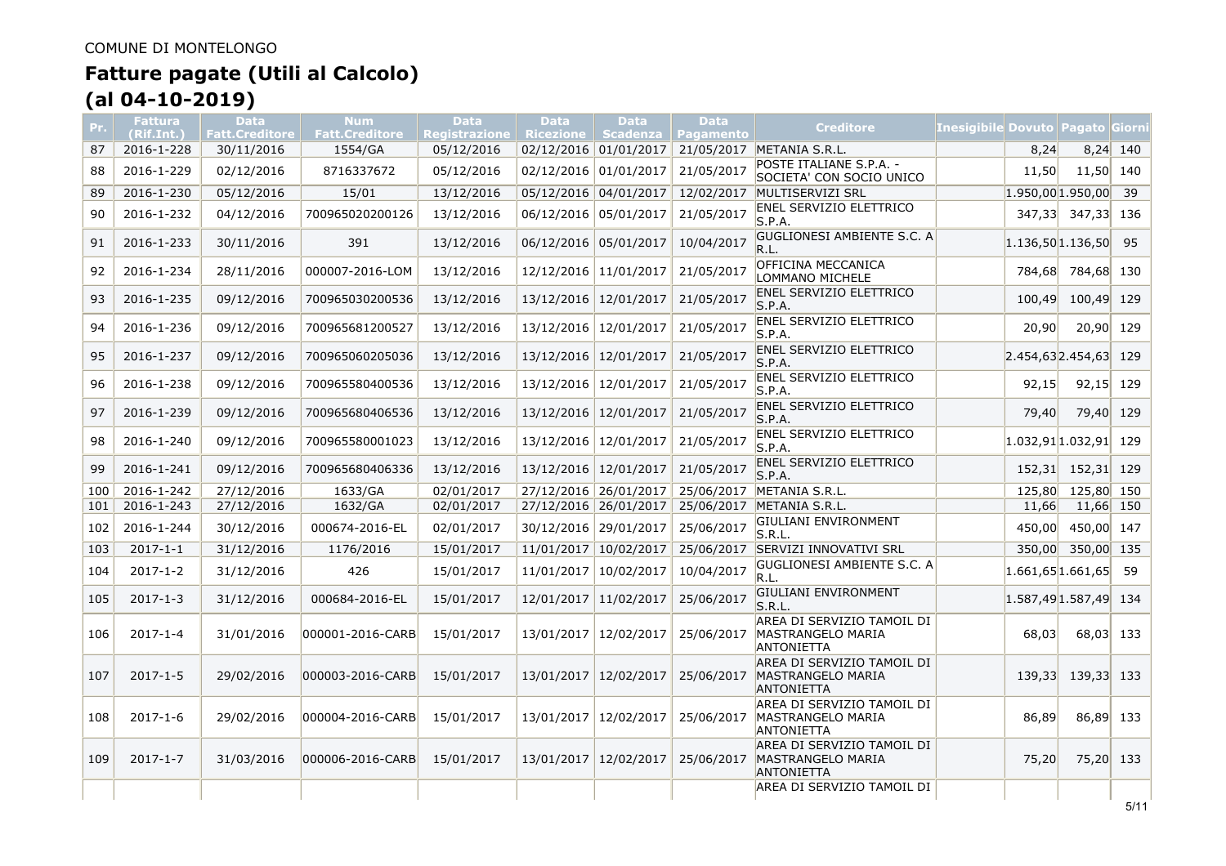| Pr. | <b>Fattura</b><br>(Rif.Int.) | <b>Data</b><br><b>Fatt.Creditore</b> | <b>Num</b><br><b>Fatt.Creditore</b> | <b>Data</b><br><b>Registrazione</b> | <b>Data</b><br>Ricezione   Scadenza | <b>Data</b>             | <b>Data</b><br><b>Pagamento</b> | <b>Creditore</b>                                                     | Inesigibile Dovuto Pagato Giorni |                         |                   |            |
|-----|------------------------------|--------------------------------------|-------------------------------------|-------------------------------------|-------------------------------------|-------------------------|---------------------------------|----------------------------------------------------------------------|----------------------------------|-------------------------|-------------------|------------|
| 87  | 2016-1-228                   | 30/11/2016                           | 1554/GA                             | 05/12/2016                          |                                     | 02/12/2016 01/01/2017   |                                 | 21/05/2017 METANIA S.R.L.                                            |                                  | 8,24                    |                   | $8,24$ 140 |
| 88  | 2016-1-229                   | 02/12/2016                           | 8716337672                          | 05/12/2016                          | 02/12/2016 01/01/2017               |                         | 21/05/2017                      | POSTE ITALIANE S.P.A. -<br>SOCIETA' CON SOCIO UNICO                  |                                  | 11.50                   | 11.50 140         |            |
| 89  | 2016-1-230                   | 05/12/2016                           | 15/01                               | 13/12/2016                          | 05/12/2016 04/01/2017               |                         | 12/02/2017                      | MULTISERVIZI SRL                                                     |                                  | $1.950,00$ 1.950,00     |                   | 39         |
| 90  | 2016-1-232                   | 04/12/2016                           | 700965020200126                     | 13/12/2016                          | 06/12/2016 05/01/2017               |                         | 21/05/2017                      | <b>ENEL SERVIZIO ELETTRICO</b><br>S.P.A.                             |                                  | 347,33                  | 347,33 136        |            |
| 91  | 2016-1-233                   | 30/11/2016                           | 391                                 | 13/12/2016                          | 06/12/2016 05/01/2017               |                         | 10/04/2017                      | GUGLIONESI AMBIENTE S.C. A<br>R.L.                                   |                                  | $1.136,50$ 1.136,50     |                   | 95         |
| 92  | 2016-1-234                   | 28/11/2016                           | 000007-2016-LOM                     | 13/12/2016                          |                                     | 12/12/2016 11/01/2017   | 21/05/2017                      | OFFICINA MECCANICA<br>LOMMANO MICHELE                                |                                  |                         | 784,68 784,68 130 |            |
| 93  | 2016-1-235                   | 09/12/2016                           | 700965030200536                     | 13/12/2016                          | 13/12/2016 12/01/2017               |                         | 21/05/2017                      | <b>ENEL SERVIZIO ELETTRICO</b><br>S.P.A.                             |                                  | 100.49                  | 100,49 129        |            |
| 94  | 2016-1-236                   | 09/12/2016                           | 700965681200527                     | 13/12/2016                          | 13/12/2016 12/01/2017               |                         | 21/05/2017                      | <b>ENEL SERVIZIO ELETTRICO</b><br>S.P.A.                             |                                  | 20,90                   | 20,90 129         |            |
| 95  | 2016-1-237                   | 09/12/2016                           | 700965060205036                     | 13/12/2016                          | 13/12/2016 12/01/2017               |                         | 21/05/2017                      | <b>ENEL SERVIZIO ELETTRICO</b><br>S.P.A.                             |                                  | $2.454,63$ 2.454,63 129 |                   |            |
| 96  | 2016-1-238                   | 09/12/2016                           | 700965580400536                     | 13/12/2016                          |                                     | 13/12/2016   12/01/2017 | 21/05/2017                      | <b>ENEL SERVIZIO ELETTRICO</b><br>S.P.A.                             |                                  | 92.15                   | 92,15 129         |            |
| 97  | 2016-1-239                   | 09/12/2016                           | 700965680406536                     | 13/12/2016                          | 13/12/2016 12/01/2017               |                         | 21/05/2017                      | <b>ENEL SERVIZIO ELETTRICO</b><br>S.P.A.                             |                                  | 79,40                   | 79,40             | 129        |
| 98  | 2016-1-240                   | 09/12/2016                           | 700965580001023                     | 13/12/2016                          | 13/12/2016 12/01/2017               |                         | 21/05/2017                      | <b>ENEL SERVIZIO ELETTRICO</b><br>S.P.A.                             |                                  | $1.032,91$ 1.032,91 129 |                   |            |
| 99  | 2016-1-241                   | 09/12/2016                           | 700965680406336                     | 13/12/2016                          | 13/12/2016 12/01/2017               |                         | 21/05/2017                      | <b>ENEL SERVIZIO ELETTRICO</b><br>S.P.A.                             |                                  | 152,31                  | 152,31 129        |            |
| 100 | 2016-1-242                   | 27/12/2016                           | 1633/GA                             | 02/01/2017                          |                                     | 27/12/2016 26/01/2017   |                                 | 25/06/2017 METANIA S.R.L.                                            |                                  | 125,80                  | 125,80 150        |            |
| 101 | 2016-1-243                   | 27/12/2016                           | 1632/GA                             | 02/01/2017                          | 27/12/2016 26/01/2017               |                         | 25/06/2017                      | METANIA S.R.L.                                                       |                                  | 11,66                   | 11,66 150         |            |
| 102 | 2016-1-244                   | 30/12/2016                           | 000674-2016-EL                      | 02/01/2017                          | 30/12/2016 29/01/2017               |                         | 25/06/2017                      | GIULIANI ENVIRONMENT<br>S.R.L.                                       |                                  | 450,00                  | 450,00 147        |            |
| 103 | $2017 - 1 - 1$               | 31/12/2016                           | 1176/2016                           | 15/01/2017                          | 11/01/2017 10/02/2017               |                         |                                 | 25/06/2017 SERVIZI INNOVATIVI SRL                                    |                                  |                         | 350,00 350,00 135 |            |
| 104 | $2017 - 1 - 2$               | 31/12/2016                           | 426                                 | 15/01/2017                          | 11/01/2017                          | 10/02/2017              | 10/04/2017                      | GUGLIONESI AMBIENTE S.C. A<br>R.L.                                   |                                  | 1.661,65 1.661,65       |                   | 59         |
| 105 | $2017 - 1 - 3$               | 31/12/2016                           | 000684-2016-EL                      | 15/01/2017                          | 12/01/2017                          | 11/02/2017              | 25/06/2017                      | <b>GIULIANI ENVIRONMENT</b><br>S.R.L.                                |                                  | $1.587,49$ 1.587,49     |                   | 134        |
| 106 | $2017 - 1 - 4$               | 31/01/2016                           | 000001-2016-CARB                    | 15/01/2017                          | 13/01/2017                          | 12/02/2017              | 25/06/2017                      | AREA DI SERVIZIO TAMOIL DI<br>MASTRANGELO MARIA<br><b>ANTONIETTA</b> |                                  | 68,03                   | 68,03 133         |            |
| 107 | $2017 - 1 - 5$               | 29/02/2016                           | 000003-2016-CARB                    | 15/01/2017                          | 13/01/2017 12/02/2017               |                         | 25/06/2017                      | AREA DI SERVIZIO TAMOIL DI<br>MASTRANGELO MARIA<br><b>ANTONIETTA</b> |                                  |                         | 139,33 139,33 133 |            |
| 108 | $2017 - 1 - 6$               | 29/02/2016                           | 000004-2016-CARB                    | 15/01/2017                          | 13/01/2017 12/02/2017               |                         | 25/06/2017                      | AREA DI SERVIZIO TAMOIL DI<br>MASTRANGELO MARIA<br><b>ANTONIETTA</b> |                                  | 86,89                   | 86,89 133         |            |
| 109 | $2017 - 1 - 7$               | 31/03/2016                           | 000006-2016-CARB                    | 15/01/2017                          | 13/01/2017 12/02/2017               |                         | 25/06/2017                      | AREA DI SERVIZIO TAMOIL DI<br>MASTRANGELO MARIA<br><b>ANTONIETTA</b> |                                  | 75,20                   | 75,20 133         |            |
|     |                              |                                      |                                     |                                     |                                     |                         |                                 | AREA DI SERVIZIO TAMOIL DI                                           |                                  |                         |                   |            |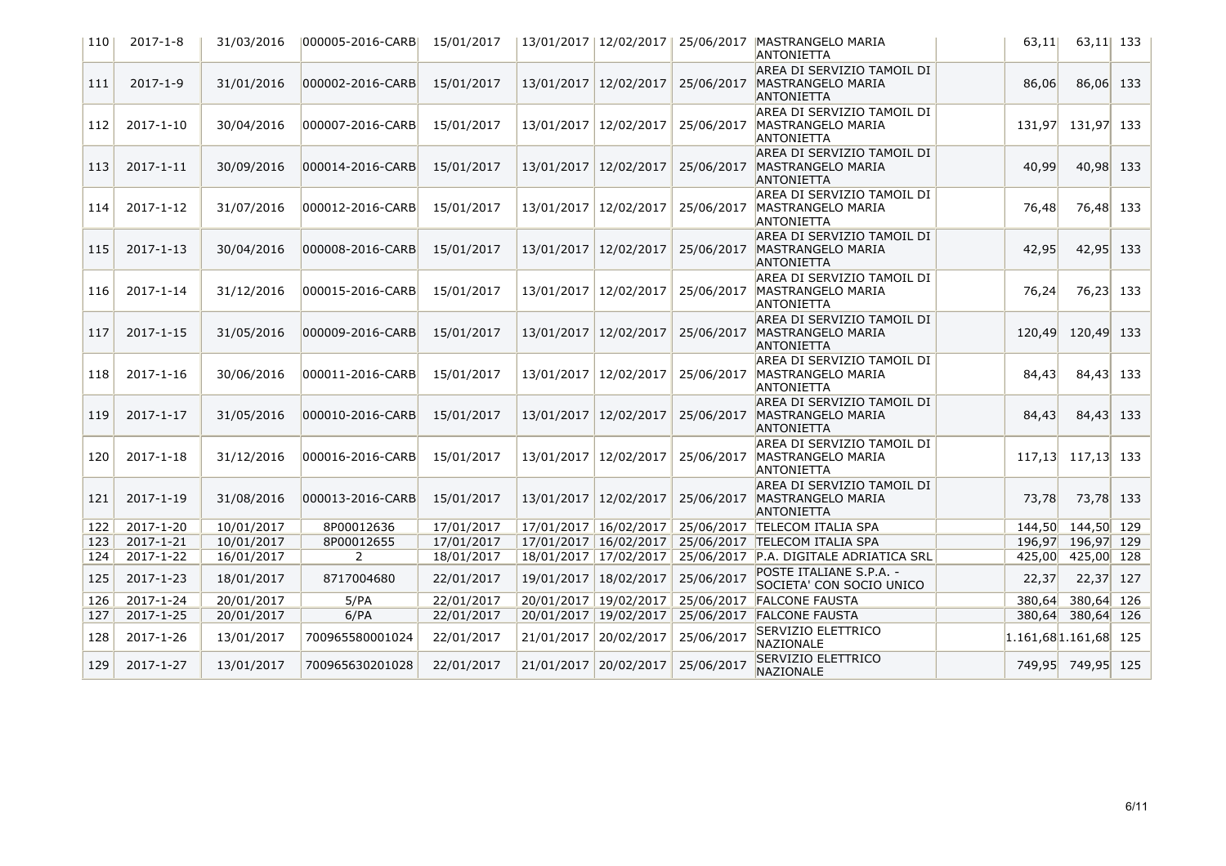| 110 | $2017 - 1 - 8$  | 31/03/2016 | 000005-2016-CARBI | 15/01/2017 |                       | 13/01/2017   12/02/2017 |            | 25/06/2017   MASTRANGELO MARIA<br><b>ANTONIETTA</b>                         | 63,11                   | 63,11 133   |  |
|-----|-----------------|------------|-------------------|------------|-----------------------|-------------------------|------------|-----------------------------------------------------------------------------|-------------------------|-------------|--|
| 111 | $2017 - 1 - 9$  | 31/01/2016 | 000002-2016-CARB  | 15/01/2017 |                       | 13/01/2017 12/02/2017   | 25/06/2017 | AREA DI SERVIZIO TAMOIL DI<br>MASTRANGELO MARIA<br><b>ANTONIETTA</b>        | 86,06                   | $86,06$ 133 |  |
| 112 | 2017-1-10       | 30/04/2016 | 000007-2016-CARB  | 15/01/2017 |                       | 13/01/2017 12/02/2017   | 25/06/2017 | AREA DI SERVIZIO TAMOIL DI<br>MASTRANGELO MARIA<br><b>ANTONIETTA</b>        | 131,97                  | 131,97 133  |  |
| 113 | $2017 - 1 - 11$ | 30/09/2016 | 000014-2016-CARB  | 15/01/2017 |                       | 13/01/2017 12/02/2017   | 25/06/2017 | AREA DI SERVIZIO TAMOIL DI<br>MASTRANGELO MARIA<br><b>ANTONIETTA</b>        | 40,99                   | 40,98 133   |  |
| 114 | 2017-1-12       | 31/07/2016 | 000012-2016-CARB  | 15/01/2017 |                       | 13/01/2017 12/02/2017   | 25/06/2017 | AREA DI SERVIZIO TAMOIL DI<br>MASTRANGELO MARIA<br><b>ANTONIETTA</b>        | 76,48                   | 76,48 133   |  |
| 115 | $2017 - 1 - 13$ | 30/04/2016 | 000008-2016-CARB  | 15/01/2017 |                       | 13/01/2017 12/02/2017   | 25/06/2017 | AREA DI SERVIZIO TAMOIL DI<br>MASTRANGELO MARIA<br><b>ANTONIETTA</b>        | 42,95                   | 42,95 133   |  |
| 116 | 2017-1-14       | 31/12/2016 | 000015-2016-CARB  | 15/01/2017 |                       | 13/01/2017 12/02/2017   | 25/06/2017 | AREA DI SERVIZIO TAMOIL DI<br>MASTRANGELO MARIA<br><b>ANTONIETTA</b>        | 76,24                   | 76,23 133   |  |
| 117 | 2017-1-15       | 31/05/2016 | 000009-2016-CARB  | 15/01/2017 |                       | 13/01/2017 12/02/2017   | 25/06/2017 | AREA DI SERVIZIO TAMOIL DI<br>MASTRANGELO MARIA<br><b>ANTONIETTA</b>        | 120,49                  | 120,49 133  |  |
| 118 | $2017 - 1 - 16$ | 30/06/2016 | 000011-2016-CARB  | 15/01/2017 |                       | 13/01/2017 12/02/2017   | 25/06/2017 | AREA DI SERVIZIO TAMOIL DI<br><b>MASTRANGELO MARIA</b><br><b>ANTONIETTA</b> | 84,43                   | 84,43 133   |  |
| 119 | 2017-1-17       | 31/05/2016 | 000010-2016-CARB  | 15/01/2017 |                       | 13/01/2017 12/02/2017   | 25/06/2017 | AREA DI SERVIZIO TAMOIL DI<br>MASTRANGELO MARIA<br><b>ANTONIETTA</b>        | 84,43                   | 84,43 133   |  |
| 120 | 2017-1-18       | 31/12/2016 | 000016-2016-CARB  | 15/01/2017 |                       | 13/01/2017 12/02/2017   | 25/06/2017 | AREA DI SERVIZIO TAMOIL DI<br>MASTRANGELO MARIA<br><b>ANTONIETTA</b>        | 117,13 117,13 133       |             |  |
| 121 | 2017-1-19       | 31/08/2016 | 000013-2016-CARB  | 15/01/2017 | 13/01/2017 12/02/2017 |                         | 25/06/2017 | AREA DI SERVIZIO TAMOIL DI<br>MASTRANGELO MARIA<br><b>ANTONIETTA</b>        | 73,78                   | 73,78 133   |  |
| 122 | 2017-1-20       | 10/01/2017 | 8P00012636        | 17/01/2017 |                       | 17/01/2017 16/02/2017   |            | 25/06/2017 TELECOM ITALIA SPA                                               | 144,50 144,50 129       |             |  |
| 123 | 2017-1-21       | 10/01/2017 | 8P00012655        | 17/01/2017 |                       | 17/01/2017 16/02/2017   | 25/06/2017 | <b>TELECOM ITALIA SPA</b>                                                   | 196,97 196,97 129       |             |  |
| 124 | 2017-1-22       | 16/01/2017 | 2                 | 18/01/2017 |                       | 18/01/2017 17/02/2017   |            | 25/06/2017 P.A. DIGITALE ADRIATICA SRL                                      | 425,00 425,00 128       |             |  |
| 125 | 2017-1-23       | 18/01/2017 | 8717004680        | 22/01/2017 | 19/01/2017 18/02/2017 |                         | 25/06/2017 | POSTE ITALIANE S.P.A. -<br>SOCIETA' CON SOCIO UNICO                         | 22,37                   | $22,37$ 127 |  |
| 126 | 2017-1-24       | 20/01/2017 | 5/PA              | 22/01/2017 |                       | 20/01/2017 19/02/2017   |            | 25/06/2017 FALCONE FAUSTA                                                   | 380,64                  | 380,64 126  |  |
| 127 | 2017-1-25       | 20/01/2017 | 6/PA              | 22/01/2017 |                       | 20/01/2017 19/02/2017   |            | 25/06/2017 FALCONE FAUSTA                                                   | 380,64 380,64 126       |             |  |
| 128 | 2017-1-26       | 13/01/2017 | 700965580001024   | 22/01/2017 | 21/01/2017            | 20/02/2017              | 25/06/2017 | SERVIZIO ELETTRICO<br>NAZIONALE                                             | $1.161,68$ 1.161,68 125 |             |  |
| 129 | 2017-1-27       | 13/01/2017 | 700965630201028   | 22/01/2017 |                       | 21/01/2017 20/02/2017   | 25/06/2017 | SERVIZIO ELETTRICO<br>NAZIONALE                                             | 749,95 749,95 125       |             |  |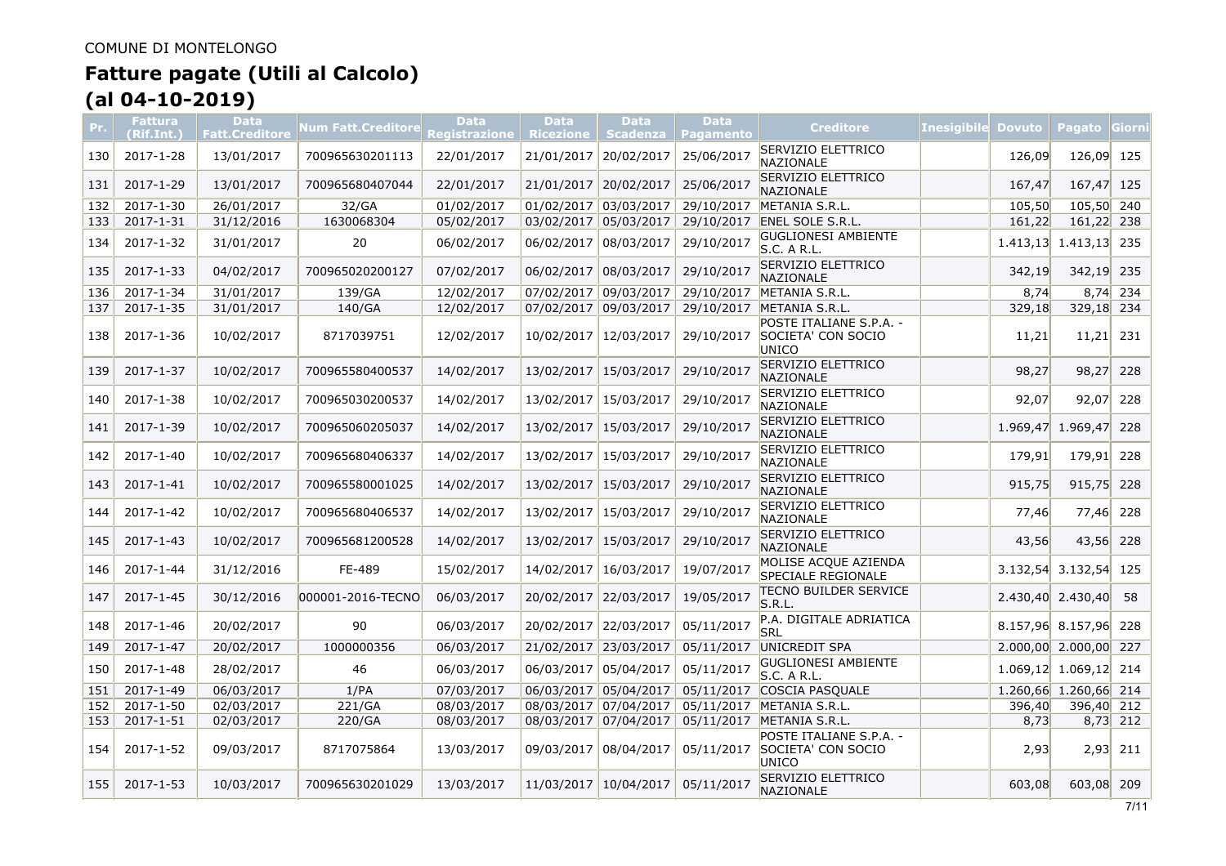| Pr. | Fattura<br>(Rif.Int.) | <b>Data</b><br><b>Fatt.Creditore</b> | Num Fatt.Creditore | <b>Data</b><br>Registrazione | <b>Data</b><br><b>Ricezione</b> | <b>Data</b><br><b>Scadenza</b> | <b>Data</b><br>Pagamento | <b>Creditore</b>                                       | <b>Inesigibile</b> | <b>Dovuto</b> | <b>Pagato Giorni</b>      |            |
|-----|-----------------------|--------------------------------------|--------------------|------------------------------|---------------------------------|--------------------------------|--------------------------|--------------------------------------------------------|--------------------|---------------|---------------------------|------------|
| 130 | 2017-1-28             | 13/01/2017                           | 700965630201113    | 22/01/2017                   | 21/01/2017                      | 20/02/2017                     | 25/06/2017               | <b>SERVIZIO ELETTRICO</b><br>NAZIONALE                 |                    | 126,09        | 126,09                    | 125        |
| 131 | 2017-1-29             | 13/01/2017                           | 700965680407044    | 22/01/2017                   | 21/01/2017                      | 20/02/2017                     | 25/06/2017               | SERVIZIO ELETTRICO<br>NAZIONALE                        |                    | 167,47        | 167.47                    | 125        |
| 132 | $2017 - 1 - 30$       | 26/01/2017                           | 32/GA              | 01/02/2017                   |                                 | 01/02/2017 03/03/2017          |                          | 29/10/2017 METANIA S.R.L.                              |                    | 105,50        | 105,50 240                |            |
| 133 | 2017-1-31             | 31/12/2016                           | 1630068304         | 05/02/2017                   | 03/02/2017 05/03/2017           |                                | 29/10/2017               | <b>ENEL SOLE S.R.L.</b>                                |                    | 161,22        | 161,22 238                |            |
| 134 | 2017-1-32             | 31/01/2017                           | 20                 | 06/02/2017                   | 06/02/2017                      | 08/03/2017                     | 29/10/2017               | <b>GUGLIONESI AMBIENTE</b><br>S.C. A R.L.              |                    |               | $1.413,13$ $1.413,13$ 235 |            |
| 135 | 2017-1-33             | 04/02/2017                           | 700965020200127    | 07/02/2017                   | 06/02/2017                      | 08/03/2017                     | 29/10/2017               | SERVIZIO ELETTRICO<br><b>NAZIONALE</b>                 |                    | 342,19        | 342,19 235                |            |
| 136 | 2017-1-34             | 31/01/2017                           | 139/GA             | 12/02/2017                   | 07/02/2017                      | 09/03/2017                     | 29/10/2017               | METANIA S.R.L.                                         |                    | 8,74          |                           | $8,74$ 234 |
| 137 | 2017-1-35             | 31/01/2017                           | 140/GA             | 12/02/2017                   | 07/02/2017 09/03/2017           |                                |                          | 29/10/2017 METANIA S.R.L.                              |                    | 329,18        | 329,18 234                |            |
| 138 | 2017-1-36             | 10/02/2017                           | 8717039751         | 12/02/2017                   | 10/02/2017                      | 12/03/2017                     | 29/10/2017               | POSTE ITALIANE S.P.A. -<br>SOCIETA' CON SOCIO<br>UNICO |                    | 11,21         | 11,21                     | 231        |
| 139 | 2017-1-37             | 10/02/2017                           | 700965580400537    | 14/02/2017                   | 13/02/2017                      | 15/03/2017                     | 29/10/2017               | SERVIZIO ELETTRICO<br><b>NAZIONALE</b>                 |                    | 98,27         | 98,27                     | 228        |
| 140 | 2017-1-38             | 10/02/2017                           | 700965030200537    | 14/02/2017                   | 13/02/2017                      | 15/03/2017                     | 29/10/2017               | SERVIZIO ELETTRICO<br>NAZIONALE                        |                    | 92,07         | 92,07                     | 228        |
| 141 | 2017-1-39             | 10/02/2017                           | 700965060205037    | 14/02/2017                   | 13/02/2017                      | 15/03/2017                     | 29/10/2017               | SERVIZIO ELETTRICO<br><b>NAZIONALE</b>                 |                    | 1.969,47      | 1.969,47                  | 228        |
| 142 | 2017-1-40             | 10/02/2017                           | 700965680406337    | 14/02/2017                   | 13/02/2017                      | 15/03/2017                     | 29/10/2017               | SERVIZIO ELETTRICO<br>NAZIONALE                        |                    | 179,91        | 179,91                    | 228        |
| 143 | 2017-1-41             | 10/02/2017                           | 700965580001025    | 14/02/2017                   | 13/02/2017                      | 15/03/2017                     | 29/10/2017               | SERVIZIO ELETTRICO<br><b>NAZIONALE</b>                 |                    | 915,75        | 915,75                    | 228        |
| 144 | 2017-1-42             | 10/02/2017                           | 700965680406537    | 14/02/2017                   | 13/02/2017                      | 15/03/2017                     | 29/10/2017               | SERVIZIO ELETTRICO<br>NAZIONALE                        |                    | 77,46         | 77,46                     | 228        |
| 145 | $2017 - 1 - 43$       | 10/02/2017                           | 700965681200528    | 14/02/2017                   | 13/02/2017                      | 15/03/2017                     | 29/10/2017               | SERVIZIO ELETTRICO<br>NAZIONALE                        |                    | 43,56         | 43,56                     | 228        |
| 146 | 2017-1-44             | 31/12/2016                           | FE-489             | 15/02/2017                   | 14/02/2017                      | 16/03/2017                     | 19/07/2017               | MOLISE ACQUE AZIENDA<br>SPECIALE REGIONALE             |                    | 3.132,54      | 3.132,54                  | 125        |
| 147 | 2017-1-45             | 30/12/2016                           | 000001-2016-TECNO  | 06/03/2017                   | 20/02/2017                      | 22/03/2017                     | 19/05/2017               | <b>TECNO BUILDER SERVICE</b><br>S.R.L.                 |                    |               | 2.430,40 2.430,40         | 58         |
| 148 | 2017-1-46             | 20/02/2017                           | 90                 | 06/03/2017                   | 20/02/2017 22/03/2017           |                                | 05/11/2017               | P.A. DIGITALE ADRIATICA<br>SRI                         |                    |               | 8.157,96 8.157,96 228     |            |
| 149 | 2017-1-47             | 20/02/2017                           | 1000000356         | 06/03/2017                   | 21/02/2017 23/03/2017           |                                | 05/11/2017               | UNICREDIT SPA                                          |                    |               | 2.000,00 2.000,00 227     |            |
| 150 | 2017-1-48             | 28/02/2017                           | 46                 | 06/03/2017                   | 06/03/2017                      | 05/04/2017                     | 05/11/2017               | <b>GUGLIONESI AMBIENTE</b><br>S.C. A R.L.              |                    |               | 1.069,12 1.069,12 214     |            |
| 151 | 2017-1-49             | 06/03/2017                           | 1/PA               | 07/03/2017                   | 06/03/2017 05/04/2017           |                                |                          | 05/11/2017 COSCIA PASQUALE                             |                    |               | 1.260,66 1.260,66 214     |            |
| 152 | 2017-1-50             | 02/03/2017                           | 221/GA             | 08/03/2017                   | 08/03/2017 07/04/2017           |                                | 05/11/2017               | METANIA S.R.L.                                         |                    | 396,40        | 396,40 212                |            |
| 153 | 2017-1-51             | 02/03/2017                           | 220/GA             | 08/03/2017                   | 08/03/2017 07/04/2017           |                                |                          | 05/11/2017 METANIA S.R.L.                              |                    | 8,73          |                           | $8,73$ 212 |
| 154 | 2017-1-52             | 09/03/2017                           | 8717075864         | 13/03/2017                   | 09/03/2017                      | 08/04/2017                     | 05/11/2017               | POSTE ITALIANE S.P.A. -<br>SOCIETA' CON SOCIO<br>UNICO |                    | 2,93          |                           | $2,93$ 211 |
| 155 | 2017-1-53             | 10/03/2017                           | 700965630201029    | 13/03/2017                   | 11/03/2017 10/04/2017           |                                | 05/11/2017               | SERVIZIO ELETTRICO<br>NAZIONALE                        |                    | 603,08        | 603.08 209                |            |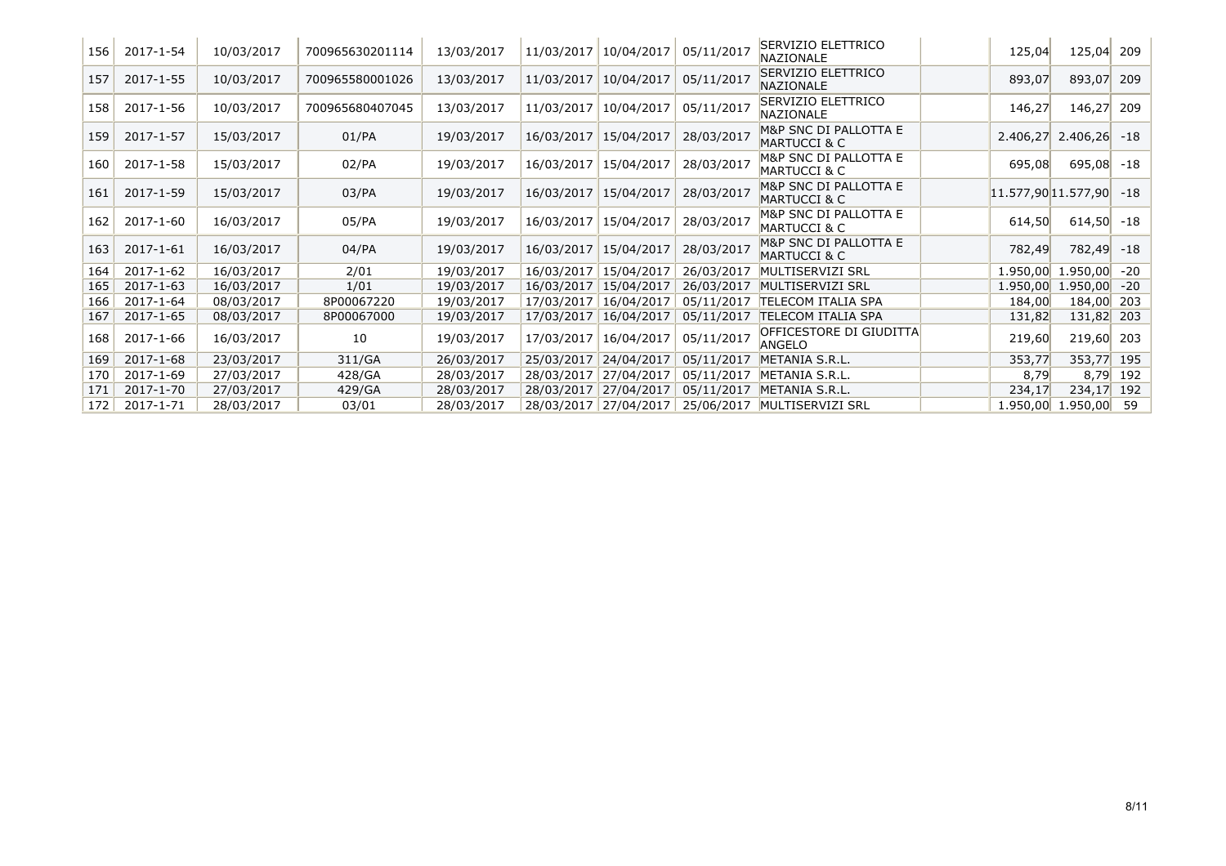| 156 | 2017-1-54 | 10/03/2017 | 700965630201114 | 13/03/2017 | 11/03/2017 | 10/04/2017 | 05/11/2017 | SERVIZIO ELETTRICO<br>NAZIONALE                  | 125,04   | 125,04 209          |          |
|-----|-----------|------------|-----------------|------------|------------|------------|------------|--------------------------------------------------|----------|---------------------|----------|
| 157 | 2017-1-55 | 10/03/2017 | 700965580001026 | 13/03/2017 | 11/03/2017 | 10/04/2017 | 05/11/2017 | SERVIZIO ELETTRICO<br><b>NAZIONALE</b>           | 893,07   | 893,07              | 209      |
| 158 | 2017-1-56 | 10/03/2017 | 700965680407045 | 13/03/2017 | 11/03/2017 | 10/04/2017 | 05/11/2017 | SERVIZIO ELETTRICO<br>NAZIONALE                  | 146,27   | 146,27              | 209      |
| 159 | 2017-1-57 | 15/03/2017 | 01/PA           | 19/03/2017 | 16/03/2017 | 15/04/2017 | 28/03/2017 | M&P SNC DI PALLOTTA E<br><b>MARTUCCI &amp; C</b> | 2.406,27 | 2.406,26            | -18      |
| 160 | 2017-1-58 | 15/03/2017 | $02$ /PA        | 19/03/2017 | 16/03/2017 | 15/04/2017 | 28/03/2017 | M&P SNC DI PALLOTTA E<br><b>MARTUCCI &amp; C</b> | 695,08   | 695,08              | $-18$    |
| 161 | 2017-1-59 | 15/03/2017 | 03/PA           | 19/03/2017 | 16/03/2017 | 15/04/2017 | 28/03/2017 | M&P SNC DI PALLOTTA E<br><b>MARTUCCI &amp; C</b> |          | 11.577,90 11.577,90 | $-18$    |
| 162 | 2017-1-60 | 16/03/2017 | 05/PA           | 19/03/2017 | 16/03/2017 | 15/04/2017 | 28/03/2017 | M&P SNC DI PALLOTTA E<br><b>MARTUCCI &amp; C</b> | 614,50   | $614,50$ -18        |          |
| 163 | 2017-1-61 | 16/03/2017 | $04$ /PA        | 19/03/2017 | 16/03/2017 | 15/04/2017 | 28/03/2017 | M&P SNC DI PALLOTTA E<br>MARTUCCI & C            | 782,49   | 782,49              | $-18$    |
| 164 | 2017-1-62 | 16/03/2017 | 2/01            | 19/03/2017 | 16/03/2017 | 15/04/2017 | 26/03/2017 | MULTISERVIZI SRL                                 | 1.950,00 | 1.950,00            | $-20$    |
| 165 | 2017-1-63 | 16/03/2017 | 1/01            | 19/03/2017 | 16/03/2017 | 15/04/2017 | 26/03/2017 | MULTISERVIZI SRL                                 | 1.950,00 | 1.950,00            | $-20$    |
| 166 | 2017-1-64 | 08/03/2017 | 8P00067220      | 19/03/2017 | 17/03/2017 | 16/04/2017 | 05/11/2017 | <b>TELECOM ITALIA SPA</b>                        | 184,00   | 184,00              | 203      |
| 167 | 2017-1-65 | 08/03/2017 | 8P00067000      | 19/03/2017 | 17/03/2017 | 16/04/2017 | 05/11/2017 | TELECOM ITALIA SPA                               | 131,82   | 131,82              | 203      |
| 168 | 2017-1-66 | 16/03/2017 | 10              | 19/03/2017 | 17/03/2017 | 16/04/2017 | 05/11/2017 | OFFICESTORE DI GIUDITTA<br>ANGELO                | 219,60   | 219,60              | 203      |
| 169 | 2017-1-68 | 23/03/2017 | 311/GA          | 26/03/2017 | 25/03/2017 | 24/04/2017 | 05/11/2017 | METANIA S.R.L.                                   | 353,77   | 353,77 195          |          |
| 170 | 2017-1-69 | 27/03/2017 | 428/GA          | 28/03/2017 | 28/03/2017 | 27/04/2017 | 05/11/2017 | METANIA S.R.L.                                   | 8,79     |                     | 8,79 192 |
| 171 | 2017-1-70 | 27/03/2017 | 429/GA          | 28/03/2017 | 28/03/2017 | 27/04/2017 | 05/11/2017 | METANIA S.R.L.                                   | 234,17   | 234,17 192          |          |
| 172 | 2017-1-71 | 28/03/2017 | 03/01           | 28/03/2017 | 28/03/2017 | 27/04/2017 | 25/06/2017 | MULTISERVIZI SRL                                 | 1.950,00 | 1.950,00            | 59       |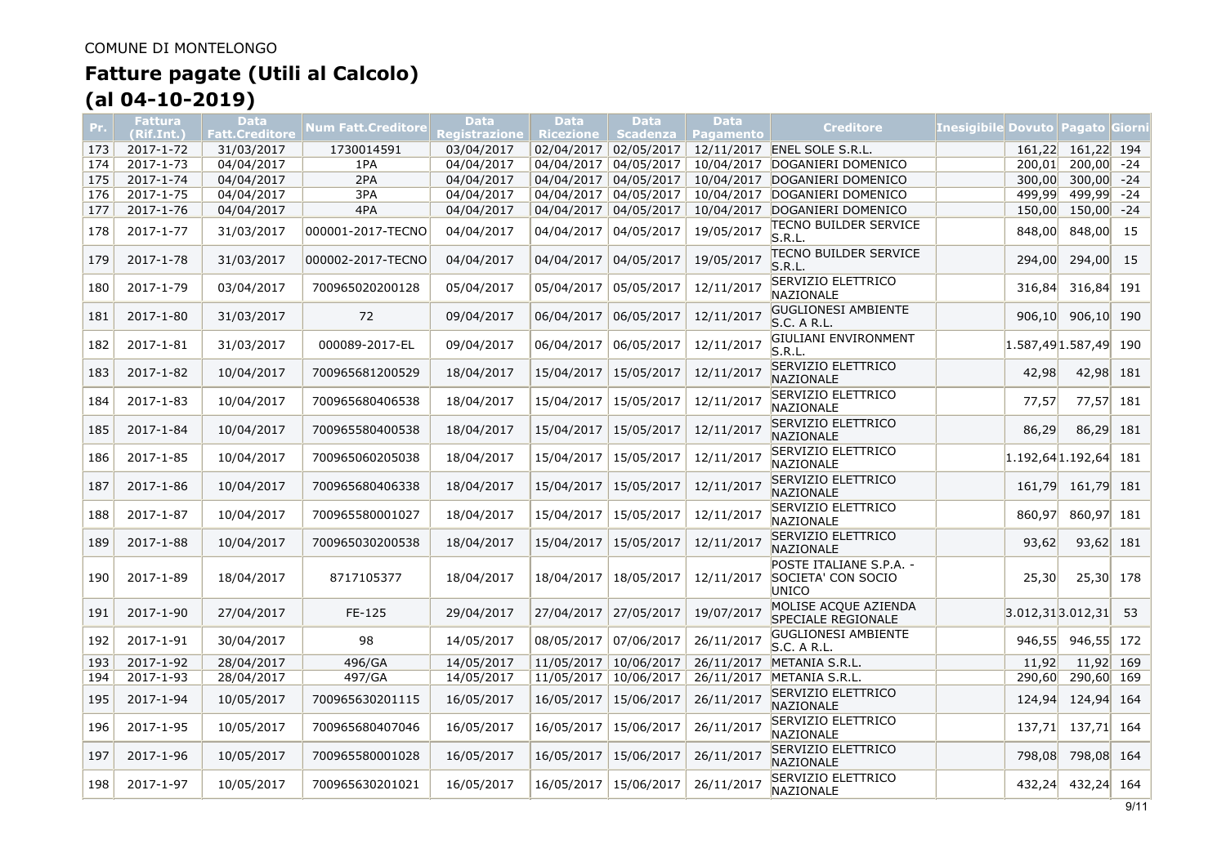| Pr. | <b>Fattura</b><br>(Rif.Int.) | Data<br>Fatt.Creditore | Num Fatt.Creditore | <b>Data</b><br><u>Registr</u> azione | <b>Data</b><br><b>Ricezione</b> | <b>Data</b><br><b>Scadenza</b> | Data<br><b>Pagamento</b> | <b>Creditore</b>                                       | Inesigibile Dovuto   Pagato   Giorni |              |       |
|-----|------------------------------|------------------------|--------------------|--------------------------------------|---------------------------------|--------------------------------|--------------------------|--------------------------------------------------------|--------------------------------------|--------------|-------|
| 173 | 2017-1-72                    | 31/03/2017             | 1730014591         | 03/04/2017                           |                                 | 02/04/2017 02/05/2017          |                          | 12/11/2017 ENEL SOLE S.R.L.                            | 161.22                               | 161,22 194   |       |
| 174 | 2017-1-73                    | 04/04/2017             | 1PA                | 04/04/2017                           | 04/04/2017                      | 04/05/2017                     |                          | 10/04/2017 DOGANIERI DOMENICO                          | 200,01                               | $200,00$ -24 |       |
| 175 | 2017-1-74                    | 04/04/2017             | 2PA                | 04/04/2017                           | 04/04/2017                      | 04/05/2017                     |                          | 10/04/2017 DOGANIERI DOMENICO                          | 300,00                               | $300,00$ -24 |       |
| 176 | 2017-1-75                    | 04/04/2017             | 3PA                | 04/04/2017                           | 04/04/2017 04/05/2017           |                                |                          | 10/04/2017 DOGANIERI DOMENICO                          | 499,99                               | 499,99       | $-24$ |
| 177 | 2017-1-76                    | 04/04/2017             | 4PA                | 04/04/2017                           | 04/04/2017                      | 04/05/2017                     |                          | 10/04/2017 DOGANIERI DOMENICO                          | 150,00                               | 150,00       | $-24$ |
| 178 | 2017-1-77                    | 31/03/2017             | 000001-2017-TECNO  | 04/04/2017                           | 04/04/2017                      | 04/05/2017                     | 19/05/2017               | TECNO BUILDER SERVICE<br>S.R.L                         | 848,00                               | 848,00       | 15    |
| 179 | 2017-1-78                    | 31/03/2017             | 000002-2017-TECNO  | 04/04/2017                           | 04/04/2017                      | 04/05/2017                     | 19/05/2017               | itecno builder service<br>S.R.L                        | 294,00                               | 294,00       | 15    |
| 180 | 2017-1-79                    | 03/04/2017             | 700965020200128    | 05/04/2017                           | 05/04/2017                      | 05/05/2017                     | 12/11/2017               | SERVIZIO ELETTRICO<br>NAZIONALE                        | 316,84                               | 316,84 191   |       |
| 181 | 2017-1-80                    | 31/03/2017             | 72                 | 09/04/2017                           | 06/04/2017                      | 06/05/2017                     | 12/11/2017               | <b>GUGLIONESI AMBIENTE</b><br>S.C. A R.L.              | 906,10                               | $906,10$ 190 |       |
| 182 | 2017-1-81                    | 31/03/2017             | 000089-2017-EL     | 09/04/2017                           | 06/04/2017                      | 06/05/2017                     | 12/11/2017               | GIULIANI ENVIRONMENT<br>S.R.L.                         | $1.587,49$ 1.587,49 190              |              |       |
| 183 | 2017-1-82                    | 10/04/2017             | 700965681200529    | 18/04/2017                           | 15/04/2017                      | 15/05/2017                     | 12/11/2017               | SERVIZIO ELETTRICO<br><b>NAZIONALE</b>                 | 42,98                                | 42,98 181    |       |
| 184 | 2017-1-83                    | 10/04/2017             | 700965680406538    | 18/04/2017                           | 15/04/2017                      | 15/05/2017                     | 12/11/2017               | SERVIZIO ELETTRICO<br>NAZIONALE                        | 77,57                                | 77,57        | 181   |
| 185 | 2017-1-84                    | 10/04/2017             | 700965580400538    | 18/04/2017                           | 15/04/2017                      | 15/05/2017                     | 12/11/2017               | SERVIZIO ELETTRICO<br>NAZIONALE                        | 86,29                                | 86,29        | 181   |
| 186 | 2017-1-85                    | 10/04/2017             | 700965060205038    | 18/04/2017                           | 15/04/2017                      | 15/05/2017                     | 12/11/2017               | SERVIZIO ELETTRICO<br>NAZIONALE                        | $1.192,64$ 1.192,64                  |              | 181   |
| 187 | 2017-1-86                    | 10/04/2017             | 700965680406338    | 18/04/2017                           | 15/04/2017                      | 15/05/2017                     | 12/11/2017               | SERVIZIO ELETTRICO<br>NAZIONALE                        | 161,79                               | 161,79       | 181   |
| 188 | 2017-1-87                    | 10/04/2017             | 700965580001027    | 18/04/2017                           | 15/04/2017                      | 15/05/2017                     | 12/11/2017               | <b>SERVIZIO ELETTRICO</b><br>NAZIONALE                 | 860,97                               | 860,97 181   |       |
| 189 | 2017-1-88                    | 10/04/2017             | 700965030200538    | 18/04/2017                           | 15/04/2017                      | 15/05/2017                     | 12/11/2017               | <b>SERVIZIO ELETTRICO</b><br><b>NAZIONALE</b>          | 93,62                                | $93,62$ 181  |       |
| 190 | 2017-1-89                    | 18/04/2017             | 8717105377         | 18/04/2017                           | 18/04/2017                      | 18/05/2017                     | 12/11/2017               | POSTE ITALIANE S.P.A. -<br>SOCIETA' CON SOCIO<br>UNICO | 25,30                                | 25,30 178    |       |
| 191 | 2017-1-90                    | 27/04/2017             | FE-125             | 29/04/2017                           | 27/04/2017                      | 27/05/2017                     | 19/07/2017               | MOLISE ACQUE AZIENDA<br>SPECIALE REGIONALE             | $3.012,31$ $3.012,31$                |              | 53    |
| 192 | 2017-1-91                    | 30/04/2017             | 98                 | 14/05/2017                           | 08/05/2017                      | 07/06/2017                     | 26/11/2017               | <b>GUGLIONESI AMBIENTE</b><br>S.C. A R.L.              | 946,55                               | 946,55 172   |       |
| 193 | 2017-1-92                    | 28/04/2017             | 496/GA             | 14/05/2017                           | 11/05/2017 10/06/2017           |                                |                          | 26/11/2017 METANIA S.R.L.                              | 11,92                                | $11,92$ 169  |       |
| 194 | 2017-1-93                    | 28/04/2017             | 497/GA             | 14/05/2017                           | 11/05/2017 10/06/2017           |                                |                          | 26/11/2017 METANIA S.R.L.                              | 290,60                               | 290,60 169   |       |
| 195 | 2017-1-94                    | 10/05/2017             | 700965630201115    | 16/05/2017                           | 16/05/2017                      | 15/06/2017                     | 26/11/2017               | SERVIZIO ELETTRICO<br>NAZIONALE                        | 124,94                               | 124,94 164   |       |
| 196 | 2017-1-95                    | 10/05/2017             | 700965680407046    | 16/05/2017                           | 16/05/2017                      | 15/06/2017                     | 26/11/2017               | SERVIZIO ELETTRICO<br>NAZIONALE                        | 137,71                               | 137,71 164   |       |
| 197 | 2017-1-96                    | 10/05/2017             | 700965580001028    | 16/05/2017                           | 16/05/2017                      | 15/06/2017                     | 26/11/2017               | SERVIZIO ELETTRICO<br><b>NAZIONALE</b>                 | 798,08                               | 798,08 164   |       |
| 198 | 2017-1-97                    | 10/05/2017             | 700965630201021    | 16/05/2017                           | 16/05/2017 15/06/2017           |                                | 26/11/2017               | <b>SERVIZIO ELETTRICO</b><br>NAZIONALE                 | 432,24                               | 432,24 164   |       |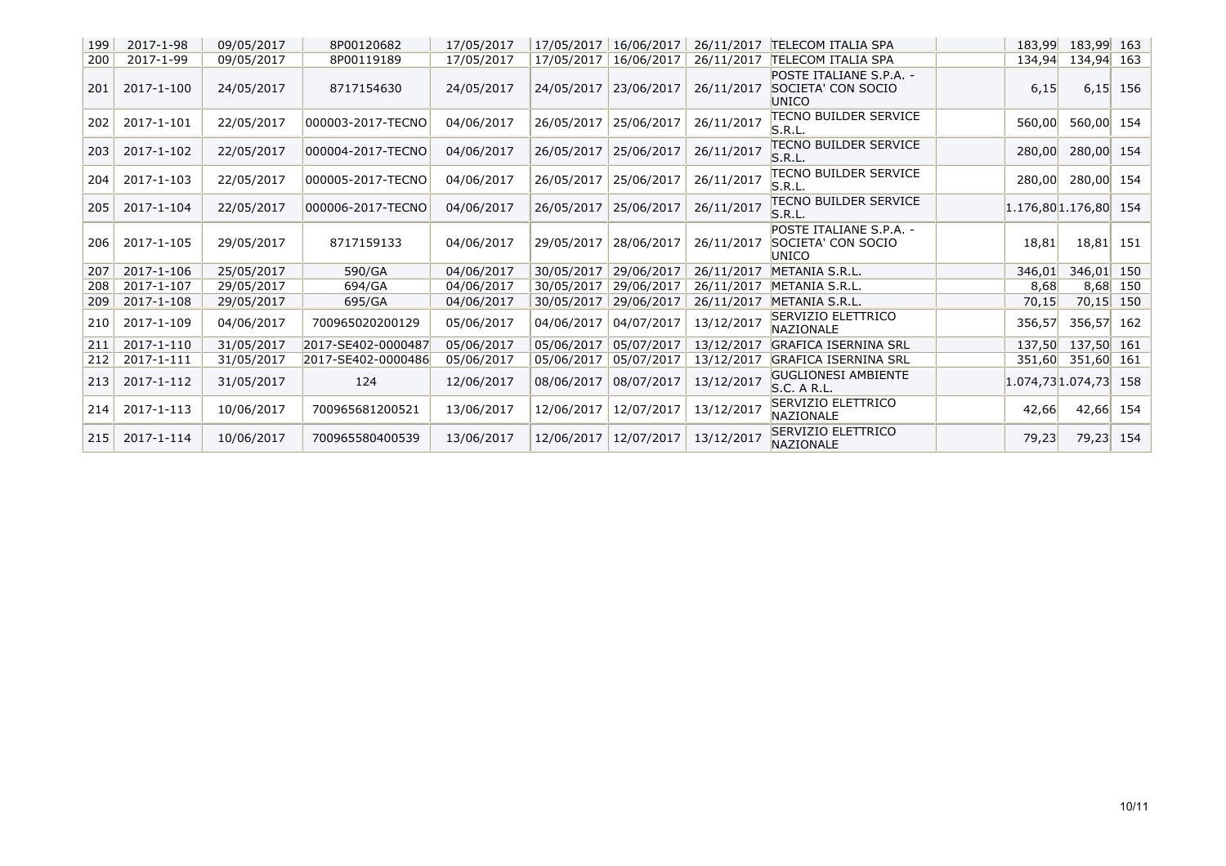| 199 | 2017-1-98  | 09/05/2017 | 8P00120682         | 17/05/2017 | 17/05/2017 | 16/06/2017 | 26/11/2017 | <b>TELECOM ITALIA SPA</b>                              | 183,99 | 183,99 163            |            |
|-----|------------|------------|--------------------|------------|------------|------------|------------|--------------------------------------------------------|--------|-----------------------|------------|
| 200 | 2017-1-99  | 09/05/2017 | 8P00119189         | 17/05/2017 | 17/05/2017 | 16/06/2017 | 26/11/2017 | <b>TELECOM ITALIA SPA</b>                              | 134,94 | 134,94 163            |            |
| 201 | 2017-1-100 | 24/05/2017 | 8717154630         | 24/05/2017 | 24/05/2017 | 23/06/2017 | 26/11/2017 | POSTE ITALIANE S.P.A. -<br>SOCIETA' CON SOCIO<br>UNICO | 6,15   |                       | $6,15$ 156 |
| 202 | 2017-1-101 | 22/05/2017 | 000003-2017-TECNO  | 04/06/2017 | 26/05/2017 | 25/06/2017 | 26/11/2017 | TECNO BUILDER SERVICE<br>S.R.L                         | 560,00 | 560,00 154            |            |
| 203 | 2017-1-102 | 22/05/2017 | 000004-2017-TECNO  | 04/06/2017 | 26/05/2017 | 25/06/2017 | 26/11/2017 | <b>TECNO BUILDER SERVICE</b><br>S.R.L.                 | 280,00 | 280,00 154            |            |
| 204 | 2017-1-103 | 22/05/2017 | 000005-2017-TECNO  | 04/06/2017 | 26/05/2017 | 25/06/2017 | 26/11/2017 | <b>TECNO BUILDER SERVICE</b><br>S.R.L.                 | 280,00 | 280,00 154            |            |
| 205 | 2017-1-104 | 22/05/2017 | 000006-2017-TECNO  | 04/06/2017 | 26/05/2017 | 25/06/2017 | 26/11/2017 | <b>TECNO BUILDER SERVICE</b><br>S.R.L.                 |        | 1.176,80 1.176,80 154 |            |
| 206 | 2017-1-105 | 29/05/2017 | 8717159133         | 04/06/2017 | 29/05/2017 | 28/06/2017 | 26/11/2017 | POSTE ITALIANE S.P.A. -<br>SOCIETA' CON SOCIO<br>UNICO | 18,81  | 18,81 151             |            |
| 207 | 2017-1-106 | 25/05/2017 | 590/GA             | 04/06/2017 | 30/05/2017 | 29/06/2017 | 26/11/2017 | METANIA S.R.L.                                         | 346,01 | 346,01                | 150        |
| 208 | 2017-1-107 | 29/05/2017 | 694/GA             | 04/06/2017 | 30/05/2017 | 29/06/2017 | 26/11/2017 | METANIA S.R.L.                                         | 8,68   |                       | 8,68 150   |
| 209 | 2017-1-108 | 29/05/2017 | 695/GA             | 04/06/2017 | 30/05/2017 | 29/06/2017 | 26/11/2017 | METANIA S.R.L.                                         | 70,15  | 70,15                 | 150        |
| 210 | 2017-1-109 | 04/06/2017 | 700965020200129    | 05/06/2017 | 04/06/2017 | 04/07/2017 | 13/12/2017 | SERVIZIO ELETTRICO<br><b>NAZIONALE</b>                 | 356,57 | 356,57 162            |            |
| 211 | 2017-1-110 | 31/05/2017 | 2017-SE402-0000487 | 05/06/2017 | 05/06/2017 | 05/07/2017 | 13/12/2017 | <b>GRAFICA ISERNINA SRL</b>                            | 137,50 | 137,50 161            |            |
| 212 | 2017-1-111 | 31/05/2017 | 2017-SE402-0000486 | 05/06/2017 | 05/06/2017 | 05/07/2017 | 13/12/2017 | <b>GRAFICA ISERNINA SRL</b>                            | 351,60 | 351,60 161            |            |
| 213 | 2017-1-112 | 31/05/2017 | 124                | 12/06/2017 | 08/06/2017 | 08/07/2017 | 13/12/2017 | <b>GUGLIONESI AMBIENTE</b><br>S.C. A R.L.              |        | 1.074,73 1.074,73 158 |            |
| 214 | 2017-1-113 | 10/06/2017 | 700965681200521    | 13/06/2017 | 12/06/2017 | 12/07/2017 | 13/12/2017 | SERVIZIO ELETTRICO<br><b>NAZIONALE</b>                 | 42,66  | 42,66 154             |            |
| 215 | 2017-1-114 | 10/06/2017 | 700965580400539    | 13/06/2017 | 12/06/2017 | 12/07/2017 | 13/12/2017 | SERVIZIO ELETTRICO<br><b>NAZIONALE</b>                 | 79,23  | 79,23                 | 154        |